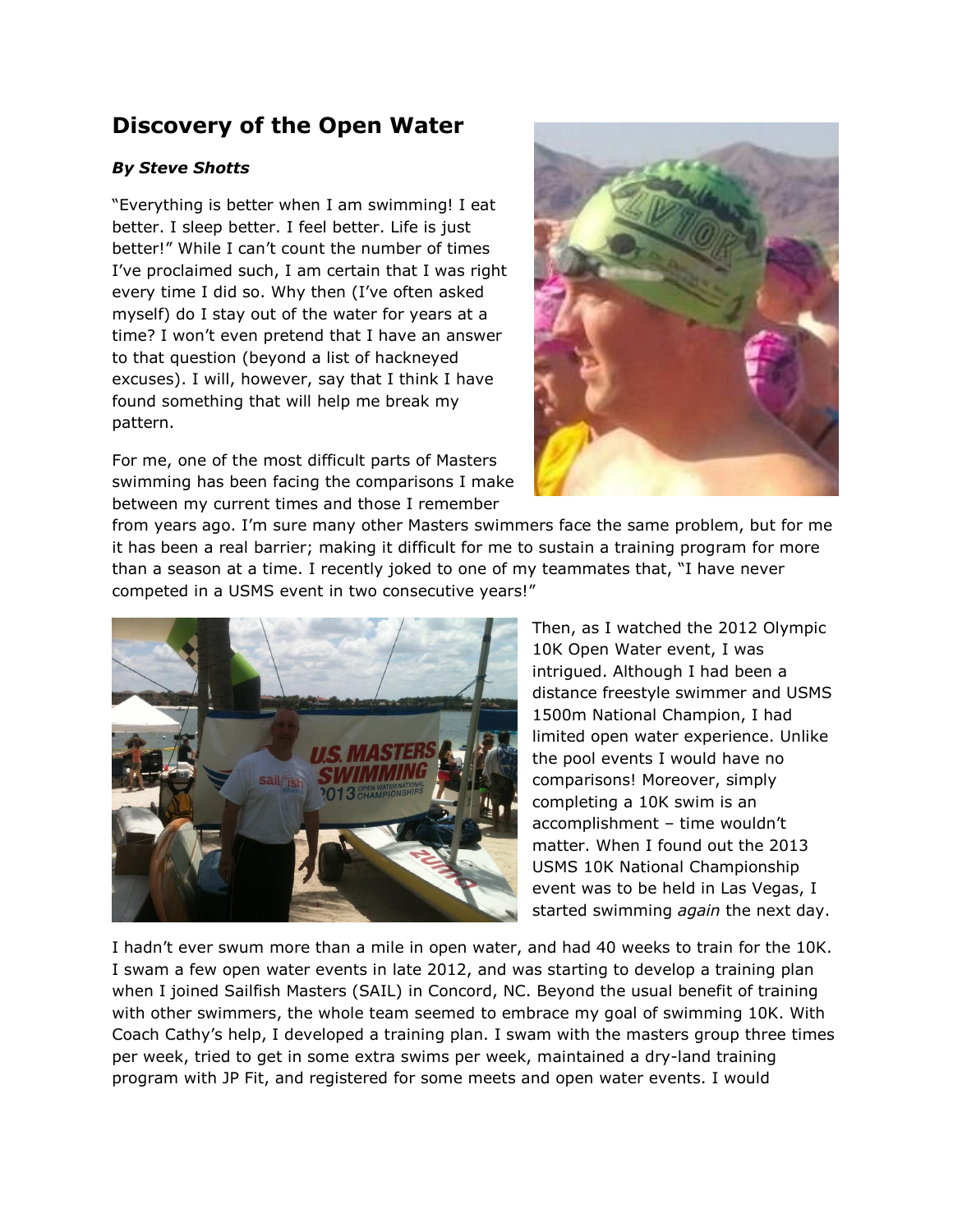## **Discovery of the Open Water**

## *By Steve Shotts*

"Everything is better when I am swimming! I eat better. I sleep better. I feel better. Life is just better!" While I can't count the number of times I've proclaimed such, I am certain that I was right every time I did so. Why then (I've often asked myself) do I stay out of the water for years at a time? I won't even pretend that I have an answer to that question (beyond a list of hackneyed excuses). I will, however, say that I think I have found something that will help me break my pattern.

For me, one of the most difficult parts of Masters swimming has been facing the comparisons I make between my current times and those I remember



from years ago. I'm sure many other Masters swimmers face the same problem, but for me it has been a real barrier; making it difficult for me to sustain a training program for more than a season at a time. I recently joked to one of my teammates that, "I have never competed in a USMS event in two consecutive years!"



Then, as I watched the 2012 Olympic 10K Open Water event, I was intrigued. Although I had been a distance freestyle swimmer and USMS 1500m National Champion, I had limited open water experience. Unlike the pool events I would have no comparisons! Moreover, simply completing a 10K swim is an accomplishment – time wouldn't matter. When I found out the 2013 USMS 10K National Championship event was to be held in Las Vegas, I started swimming *again* the next day.

I hadn't ever swum more than a mile in open water, and had 40 weeks to train for the 10K. I swam a few open water events in late 2012, and was starting to develop a training plan when I joined Sailfish Masters (SAIL) in Concord, NC. Beyond the usual benefit of training with other swimmers, the whole team seemed to embrace my goal of swimming 10K. With Coach Cathy's help, I developed a training plan. I swam with the masters group three times per week, tried to get in some extra swims per week, maintained a dry-land training program with JP Fit, and registered for some meets and open water events. I would